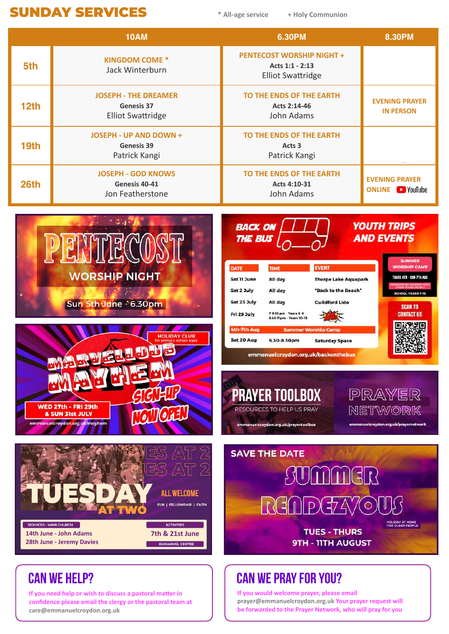## **SUNDAY SERVICES**  $*$  All-age service + Holy Communion

**\* All-age service**

|                               | <b>10AM</b>                                                                                                                                                                                                                                                                                                                                                                                                                                                                                                                                                                                                                                                                                                                                                                                                          | <b>6.30PM</b>                                                                   | <b>8.30PM</b>                                                                                                                                                                                                                              |
|-------------------------------|----------------------------------------------------------------------------------------------------------------------------------------------------------------------------------------------------------------------------------------------------------------------------------------------------------------------------------------------------------------------------------------------------------------------------------------------------------------------------------------------------------------------------------------------------------------------------------------------------------------------------------------------------------------------------------------------------------------------------------------------------------------------------------------------------------------------|---------------------------------------------------------------------------------|--------------------------------------------------------------------------------------------------------------------------------------------------------------------------------------------------------------------------------------------|
| 5th                           | <b>KINGDOM COME *</b><br>Jack Winterburn                                                                                                                                                                                                                                                                                                                                                                                                                                                                                                                                                                                                                                                                                                                                                                             | <b>PENTECOST WORSHIP NIGHT +</b><br>Acts 1:1 - 2:13<br><b>Elliot Swattridge</b> |                                                                                                                                                                                                                                            |
| 12 <sub>th</sub>              | <b>JOSEPH - THE DREAMER</b><br><b>Genesis 37</b><br><b>Elliot Swattridge</b>                                                                                                                                                                                                                                                                                                                                                                                                                                                                                                                                                                                                                                                                                                                                         | TO THE ENDS OF THE EARTH<br>Acts 2:14-46<br>John Adams                          | <b>EVENING PRAYER</b><br><b>IN PERSON</b>                                                                                                                                                                                                  |
| 19th                          | <b>JOSEPH - UP AND DOWN +</b><br>Genesis 39<br>Patrick Kangi                                                                                                                                                                                                                                                                                                                                                                                                                                                                                                                                                                                                                                                                                                                                                         | TO THE ENDS OF THE EARTH<br>Acts <sub>3</sub><br>Patrick Kangi                  |                                                                                                                                                                                                                                            |
| 26th                          | <b>JOSEPH - GOD KNOWS</b><br>Genesis 40-41<br>Jon Featherstone                                                                                                                                                                                                                                                                                                                                                                                                                                                                                                                                                                                                                                                                                                                                                       | TO THE ENDS OF THE EARTH<br>Acts 4:10-31<br>John Adams                          | <b>EVENING PRAYER</b><br><b>ONLINE D</b> YouTube                                                                                                                                                                                           |
|                               | <b>BACK ON</b><br><b>THE BUS</b><br><b>EVENT</b><br><b>DATE</b><br><b>TIME</b><br><b>WORSHIP NIGHT</b><br>Sat 11 June<br>All day<br><b>Thorpe Lake Aquapark</b><br>Sat 2 July<br>"Back to the Beach"<br>All day<br>Sat 23 July<br>All day<br><b>Guildford Lido</b><br>Sun 5th June - 6.30pm<br>7-9.15 pm - Years 6-9<br>Fri 29 July<br>8.45-11pm - Years 10-13<br>4th-7th Aug<br><b>Summer Worship Camp</b><br><b>HOLIDAY CLUB</b><br>Sat 20 Aug<br>6.30-8.30pm<br><b>Saturday Space</b><br>or primary school ages<br>emmanuelcroydon.org.uk/backonthebus<br>MAYARA LAR<br><b>PRAYER TOOLBOX</b><br><b>WED 27th - FRI 29th</b><br>RESOURCES TO HELP US PRAY<br>J<br>& SUN 31st JULY<br>emmanuelcroydon.org.uk/mayhem<br>emmanuelcroydon.org.uk/prayertoolbox<br><b>SAVE THE DATE</b><br>SUMMER<br><b>ALL WELCOME</b> |                                                                                 | <b>YOUTH TRIPS</b><br><b>AND EVENTS</b><br><b>SUMMER</b><br><b>WORSHIP CAMP</b><br>THURS 4TH - SUN 7TH AUG<br><b>SCHOOL YEARS 7-13</b><br><b>SCAN TO</b><br><b>CONTACT US</b><br>PRAYER<br>NETWORK<br>emmanuelcroydon.org.uk/prayernetwork |
| <b>SERVICES - MAIN CHURCH</b> | <b>ACTIVITIES</b><br>14th June - John Adams<br>7th & 21st June<br>28th June - Jeremy Davies<br><b>EMMANUEL CENTRE</b>                                                                                                                                                                                                                                                                                                                                                                                                                                                                                                                                                                                                                                                                                                | RGNDGZ470U<br><b>TUES - THURS</b><br><b>9TH - 11TH AUGUST</b>                   | HOLIDAY AT HOME<br>FOR OLDER PEOPLE                                                                                                                                                                                                        |
| <b>CAN WE HELP?</b>           |                                                                                                                                                                                                                                                                                                                                                                                                                                                                                                                                                                                                                                                                                                                                                                                                                      | <b>CAN WE PRAY FOR YOU?</b>                                                     |                                                                                                                                                                                                                                            |

**If you would welcome prayer, please email** 

prayer@emmanuelcroydon.org.uk Your prayer request will be forwarded to the Prayer Network, who will pray for you

If you need help or wish to discuss a pastoral matter in confidence please email the clergy or the pastoral team at **care@emmanuelcroydon.org.uk**